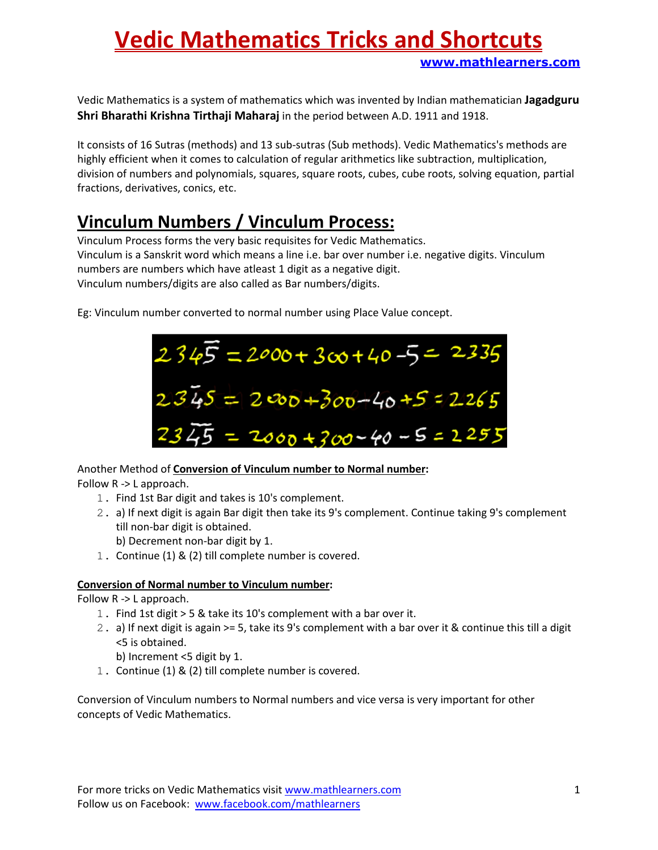Vedic Mathematics is a system of mathematics which was invented by Indian mathematician Jagadguru Shri Bharathi Krishna Tirthaji Maharaj in the period between A.D. 1911 and 1918.

It consists of 16 Sutras (methods) and 13 sub-sutras (Sub methods). Vedic Mathematics's methods are highly efficient when it comes to calculation of regular arithmetics like subtraction, multiplication, division of numbers and polynomials, squares, square roots, cubes, cube roots, solving equation, partial fractions, derivatives, conics, etc.

## Vinculum Numbers / Vinculum Process:

Vinculum Process forms the very basic requisites for Vedic Mathematics. Vinculum is a Sanskrit word which means a line i.e. bar over number i.e. negative digits. Vinculum numbers are numbers which have atleast 1 digit as a negative digit. Vinculum numbers/digits are also called as Bar numbers/digits.

Eg: Vinculum number converted to normal number using Place Value concept.



Another Method of Conversion of Vinculum number to Normal number:

Follow R -> L approach.

- 1. Find 1st Bar digit and takes is 10's complement.
- 2. a) If next digit is again Bar digit then take its 9's complement. Continue taking 9's complement till non-bar digit is obtained.
	- b) Decrement non-bar digit by 1.
- 1. Continue (1) & (2) till complete number is covered.

#### Conversion of Normal number to Vinculum number:

Follow R -> L approach.

- 1. Find 1st digit > 5 & take its 10's complement with a bar over it.
- 2. a) If next digit is again >= 5, take its 9's complement with a bar over it & continue this till a digit <5 is obtained.
	- b) Increment <5 digit by 1.
- 1. Continue (1) & (2) till complete number is covered.

Conversion of Vinculum numbers to Normal numbers and vice versa is very important for other concepts of Vedic Mathematics.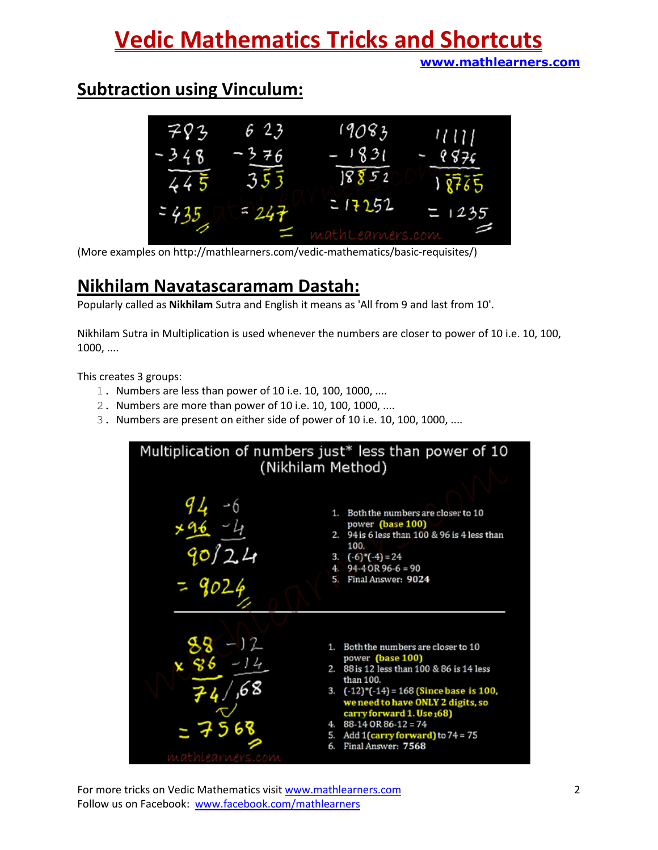## Subtraction using Vinculum:



(More examples on http://mathlearners.com/vedic-mathematics/basic-requisites/)

### Nikhilam Navatascaramam Dastah:

Popularly called as Nikhilam Sutra and English it means as 'All from 9 and last from 10'.

Nikhilam Sutra in Multiplication is used whenever the numbers are closer to power of 10 i.e. 10, 100, 1000, ....

This creates 3 groups:

- 1. Numbers are less than power of 10 i.e. 10, 100, 1000, ....
- 2. Numbers are more than power of 10 i.e. 10, 100, 1000, ....
- 3. Numbers are present on either side of power of 10 i.e. 10, 100, 1000, ....

Multiplication of numbers just\* less than power of 10 (Nikhilam Method) 1. Both the numbers are closer to 10 power (base 100) 94 is 6 less than 100 & 96 is 4 less than 100. 3.  $(-6)$ <sup>\*</sup> $(-4) = 24$  $94-4$  OR  $96-6 = 90$ 4 5. Final Answer: 9024 1. Both the numbers are closer to 10 power (base 100) 88 is 12 less than 100 & 86 is 14 less 2. than 100.  $(-12)^*(-14) = 168$  (Since base is 100, 3. we need to have ONLY 2 digits, so<br>carry forward 1. Use 168)  $88-14$  OR  $86-12=74$ Add 1(carry forward) to 74 = 75<br>Final Answer: 7568 5. 6.

For more tricks on Vedic Mathematics visit www.mathlearners.com 2 Follow us on Facebook: www.facebook.com/mathlearners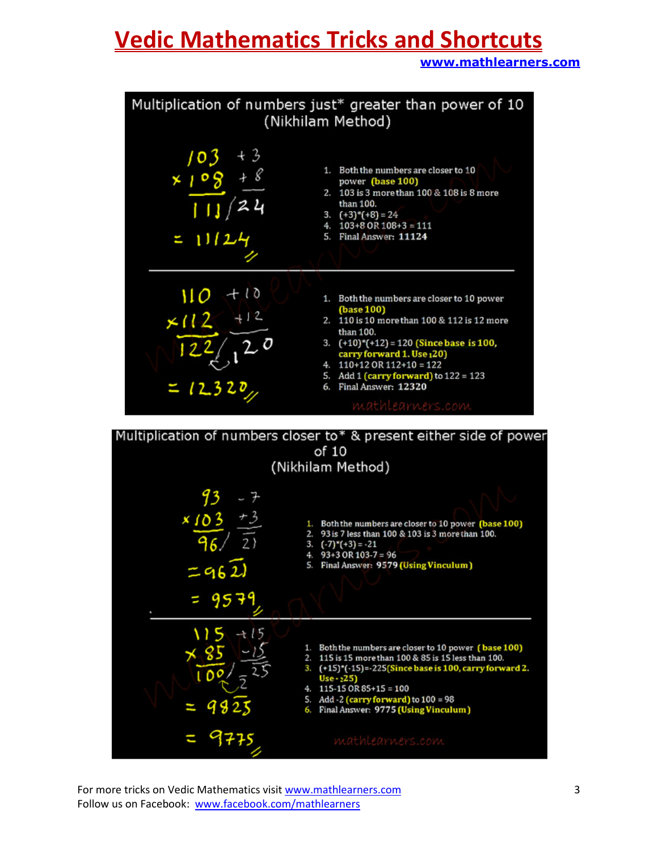# Vedic Mathematics Tricks and Shortcuts

www.mathlearners.com



For more tricks on Vedic Mathematics visit www.mathlearners.com 3 Follow us on Facebook: www.facebook.com/mathlearners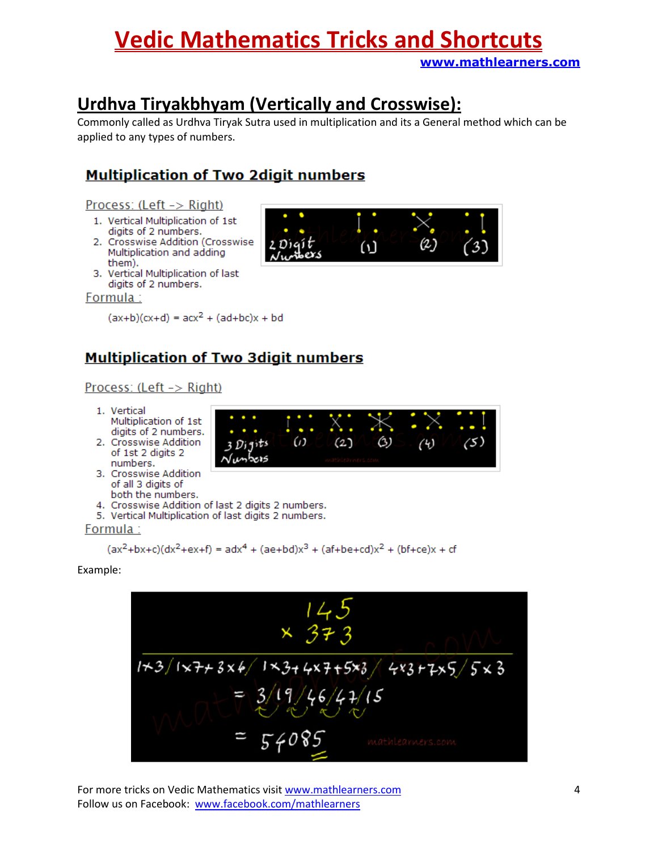## Urdhva Tiryakbhyam (Vertically and Crosswise):

Commonly called as Urdhva Tiryak Sutra used in multiplication and its a General method which can be applied to any types of numbers.

### **Multiplication of Two 2digit numbers**

#### Process: (Left -> Right)

- 1. Vertical Multiplication of 1st digits of 2 numbers.
- 2. Crosswise Addition (Crosswise Multiplication and adding them).
- 3. Vertical Multiplication of last digits of 2 numbers.

#### Formula:

 $(ax+b)(cx+d) = acx^2 + (ad+bc)x + bd$ 

### **Multiplication of Two 3digit numbers**

#### Process: (Left -> Right)

- 1. Vertical Multiplication of 1
- digits of 2 number 2. Crosswise Additio of 1st 2 digits 2 numbers.
- 3. Crosswise Addition of all 3 digits of both the numbers.
- 4. Crosswise Addition of last 2 digits 2 numbers.
- 5. Vertical Multiplication of last digits 2 numbers.

#### Formula:

$$
(ax^2+bx+c)(dx^2+ex+f) = adx^4 + (ae+bd)x^3 + (af+be+cd)x^2 + (bf+ce)x + cf
$$

Example:



For more tricks on Vedic Mathematics visit www.mathlearners.com 4 Follow us on Facebook: www.facebook.com/mathlearners



| .st        |       |         |   |        | ۰<br>- |
|------------|-------|---------|---|--------|--------|
| ۱ſS.<br>on | Ł٢    | 2.<br>J | ś | ٠<br>υ | ij     |
|            | كتنوط |         |   |        |        |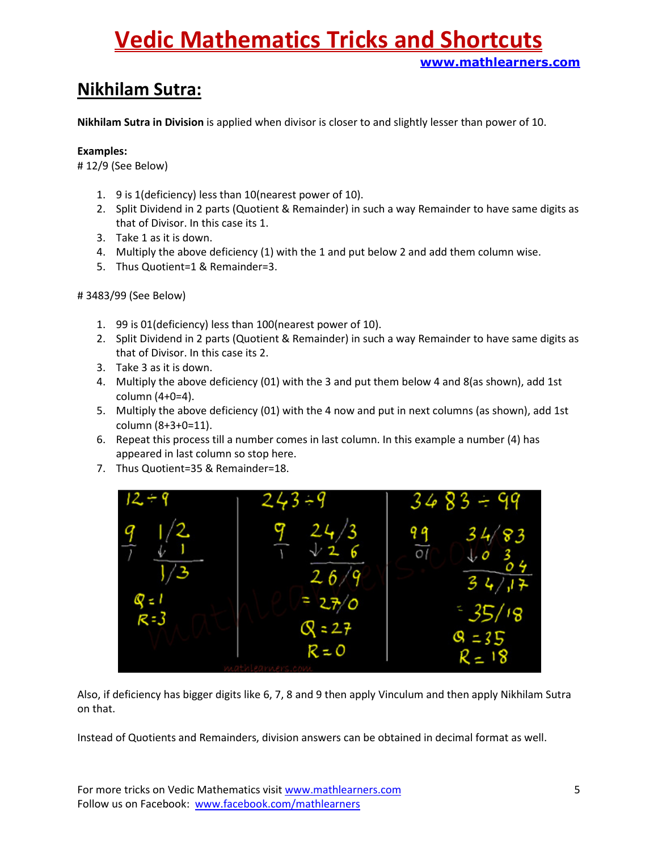### Nikhilam Sutra:

Nikhilam Sutra in Division is applied when divisor is closer to and slightly lesser than power of 10.

#### Examples:

# 12/9 (See Below)

- 1. 9 is 1(deficiency) less than 10(nearest power of 10).
- 2. Split Dividend in 2 parts (Quotient & Remainder) in such a way Remainder to have same digits as that of Divisor. In this case its 1.
- 3. Take 1 as it is down.
- 4. Multiply the above deficiency (1) with the 1 and put below 2 and add them column wise.
- 5. Thus Quotient=1 & Remainder=3.

# 3483/99 (See Below)

- 1. 99 is 01(deficiency) less than 100(nearest power of 10).
- 2. Split Dividend in 2 parts (Quotient & Remainder) in such a way Remainder to have same digits as that of Divisor. In this case its 2.
- 3. Take 3 as it is down.
- 4. Multiply the above deficiency (01) with the 3 and put them below 4 and 8(as shown), add 1st column (4+0=4).
- 5. Multiply the above deficiency (01) with the 4 now and put in next columns (as shown), add 1st column (8+3+0=11).
- 6. Repeat this process till a number comes in last column. In this example a number (4) has appeared in last column so stop here.
- 7. Thus Quotient=35 & Remainder=18.



Also, if deficiency has bigger digits like 6, 7, 8 and 9 then apply Vinculum and then apply Nikhilam Sutra on that.

Instead of Quotients and Remainders, division answers can be obtained in decimal format as well.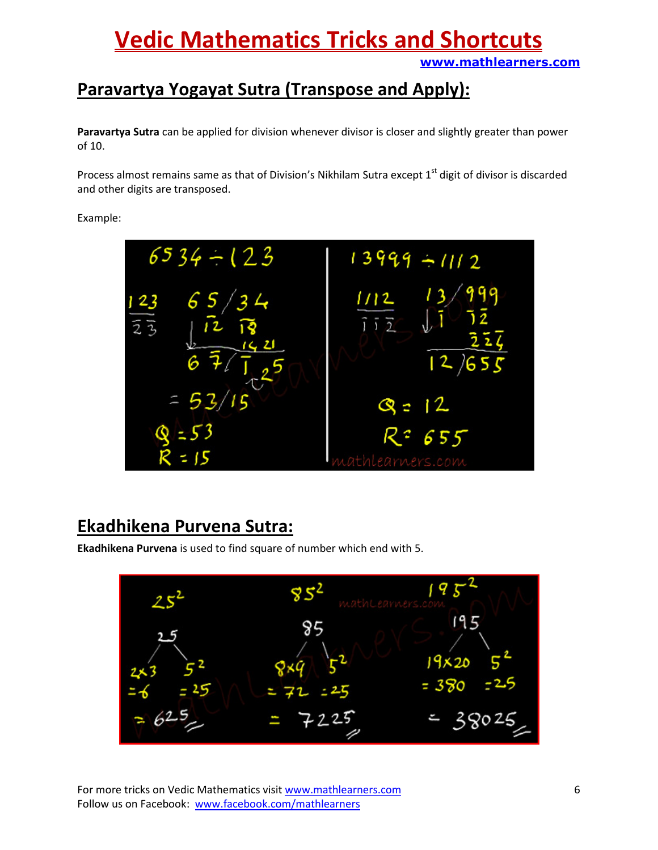## Paravartya Yogayat Sutra (Transpose and Apply):

Paravartya Sutra can be applied for division whenever divisor is closer and slightly greater than power of 10.

Process almost remains same as that of Division's Nikhilam Sutra except 1<sup>st</sup> digit of divisor is discarded and other digits are transposed.

Example:



### Ekadhikena Purvena Sutra:

Ekadhikena Purvena is used to find square of number which end with 5.

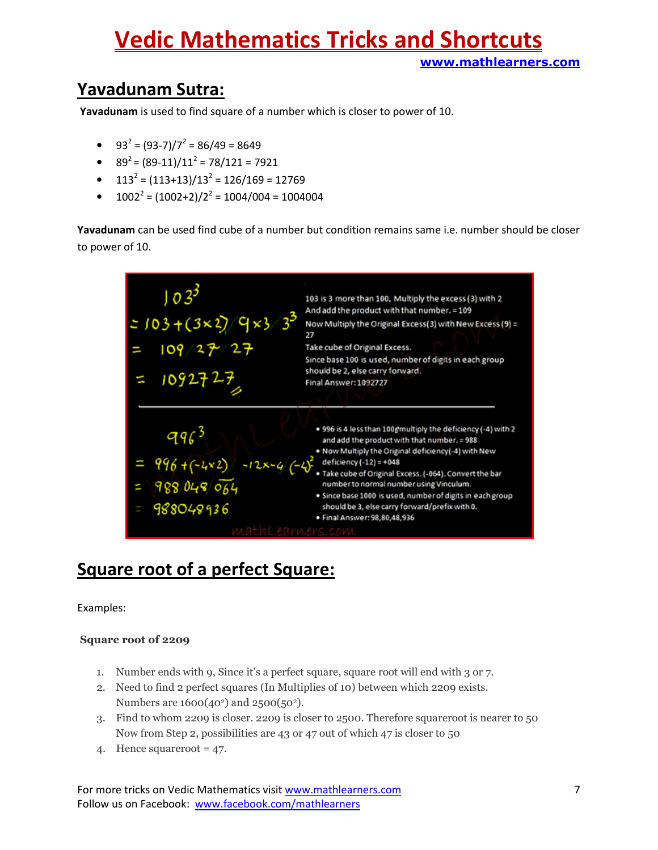# Vedic Mathematics Tricks and Shortcuts

www.mathlearners.com

## Yavadunam Sutra:

Yavadunam is used to find square of a number which is closer to power of 10.

- $93^2 = (93-7)/7^2 = 86/49 = 8649$
- $89^2 = (89-11)/11^2 = 78/121 = 7921$
- $\bullet$  113<sup>2</sup> = (113+13)/13<sup>2</sup> = 126/169 = 12769
- $1002^2 = (1002+2)/2^2 = 1004/004 = 1004004$

Yavadunam can be used find cube of a number but condition remains same i.e. number should be closer to power of 10.



### Square root of a perfect Square:

Examples:

#### Square root of 2209

- 1. Number ends with 9, Since it's a perfect square, square root will end with 3 or 7.
- 2. Need to find 2 perfect squares (In Multiplies of 10) between which 2209 exists. Numbers are 1600(40<sup>2</sup>) and 2500(50<sup>2</sup>).
- 3. Find to whom 2209 is closer. 2209 is closer to 2500. Therefore squareroot is nearer to 50 Now from Step 2, possibilities are 43 or 47 out of which 47 is closer to 50
- 4. Hence squareroot = 47.

For more tricks on Vedic Mathematics visit www.mathlearners.com 7 Follow us on Facebook: www.facebook.com/mathlearners